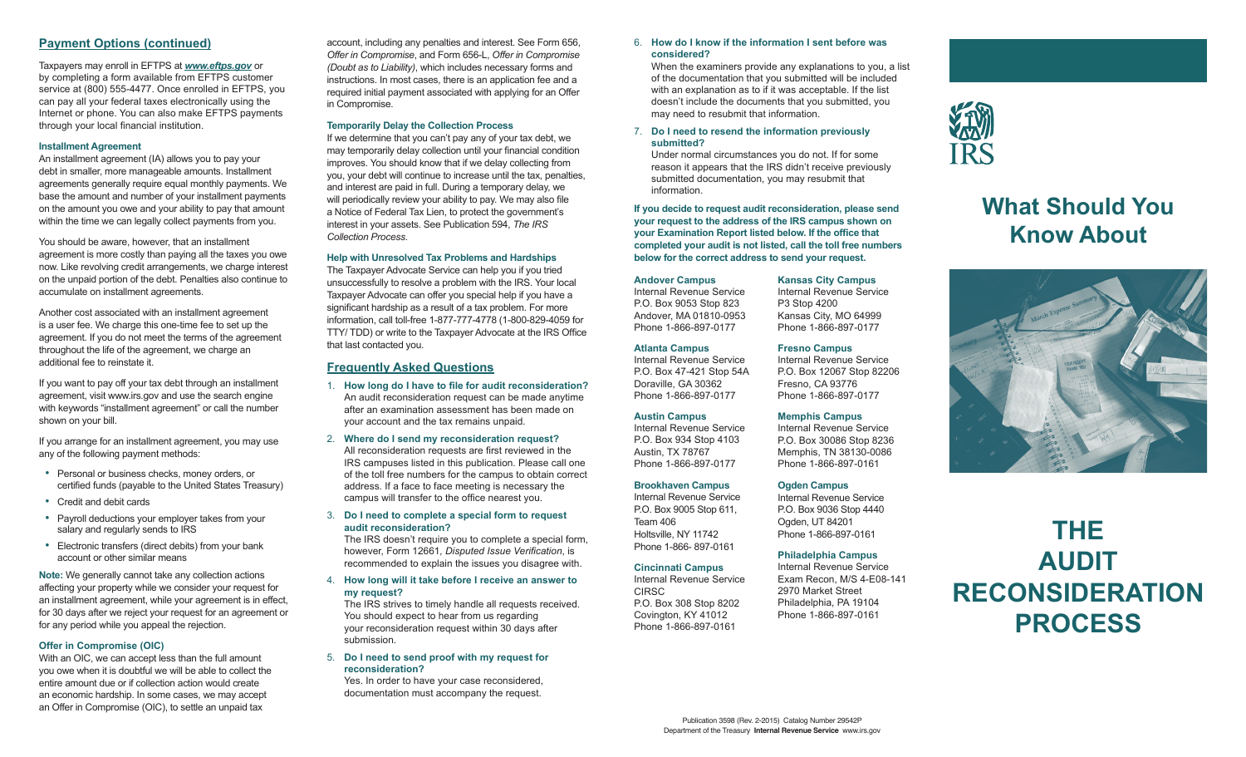# **Payment Options (continued)**

Taxpayers may enroll in EFTPS at *[www.eftps.gov](https://www.eftps.gov/eftps/)* or by completing a form available from EFTPS customer service at (800) 555-4477. Once enrolled in EFTPS, you can pay all your federal taxes electronically using the Internet or phone. You can also make EFTPS payments through your local financial institution.

#### **Installment Agreement**

An installment agreement (IA) allows you to pay your debt in smaller, more manageable amounts. Installment agreements generally require equal monthly payments. We base the amount and number of your installment payments on the amount you owe and your ability to pay that amount within the time we can legally collect payments from you.

You should be aware, however, that an installment agreement is more costly than paying all the taxes you owe now. Like revolving credit arrangements, we charge interest on the unpaid portion of the debt. Penalties also continue to accumulate on installment agreements.

Another cost associated with an installment agreement is a user fee. We charge this one-time fee to set up the agreement. If you do not meet the terms of the agreement throughout the life of the agreement, we charge an additional fee to reinstate it.

If you want to pay off your tax debt through an installment agreement, visit www.irs.gov and use the search engine with keywords "installment agreement" or call the number shown on your bill.

If you arrange for an installment agreement, you may use any of the following payment methods:

- Personal or business checks, money orders, or certified funds (payable to the United States Treasury)
- Credit and debit cards
- Payroll deductions your employer takes from your salary and regularly sends to IRS
- Electronic transfers (direct debits) from your bank account or other similar means

**Note:** We generally cannot take any collection actions affecting your property while we consider your request for an installment agreement, while your agreement is in effect, for 30 days after we reject your request for an agreement or for any period while you appeal the rejection.

# **Offer in Compromise (OIC)**

With an OIC, we can accept less than the full amount you owe when it is doubtful we will be able to collect the entire amount due or if collection action would create an economic hardship. In some cases, we may accept an Offer in Compromise (OIC), to settle an unpaid tax

account, including any penalties and interest. See Form 656, *Offer in Compromise*, and Form 656-L, *Offer in Compromise (Doubt as to Liability)*, which includes necessary forms and instructions. In most cases, there is an application fee and a required initial payment associated with applying for an Offer in Compromise.

#### **Temporarily Delay the Collection Process**

If we determine that you can't pay any of your tax debt, we may temporarily delay collection until your financial condition improves. You should know that if we delay collecting from you, your debt will continue to increase until the tax, penalties, and interest are paid in full. During a temporary delay, we will periodically review your ability to pay. We may also file a Notice of Federal Tax Lien, to protect the government's interest in your assets. See Publication 594, *The IRS Collection Process*.

## **Help with Unresolved Tax Problems and Hardships**

The Taxpayer Advocate Service can help you if you tried unsuccessfully to resolve a problem with the IRS. Your local Taxpayer Advocate can offer you special help if you have a significant hardship as a result of a tax problem. For more information, call toll-free 1-877-777-4778 (1-800-829-4059 for TTY/ TDD) or write to the Taxpayer Advocate at the IRS Office that last contacted you.

## **Frequently Asked Questions**

- 1. **How long do I have to file for audit reconsideration?**  An audit reconsideration request can be made anytime after an examination assessment has been made on your account and the tax remains unpaid.
- 2. **Where do I send my reconsideration request?** All reconsideration requests are first reviewed in the IRS campuses listed in this publication. Please call one of the toll free numbers for the campus to obtain correct address. If a face to face meeting is necessary the campus will transfer to the office nearest you.
- 3. **Do I need to complete a special form to request audit reconsideration?**

The IRS doesn't require you to complete a special form, however, Form 12661*, Disputed Issue Verification*, is recommended to explain the issues you disagree with.

4. **How long will it take before I receive an answer to my request?**

The IRS strives to timely handle all requests received. You should expect to hear from us regarding your reconsideration request within 30 days after submission.

#### 5. **Do I need to send proof with my request for reconsideration?**

Yes. In order to have your case reconsidered, documentation must accompany the request.

6. **How do I know if the information I sent before was considered?**

When the examiners provide any explanations to you, a list of the documentation that you submitted will be included with an explanation as to if it was acceptable. If the list doesn't include the documents that you submitted, you may need to resubmit that information.

7. **Do I need to resend the information previously submitted?**

Under normal circumstances you do not. If for some reason it appears that the IRS didn't receive previously submitted documentation, you may resubmit that information.

**If you decide to request audit reconsideration, please send your request to the address of the IRS campus shown on your Examination Report listed below. If the office that completed your audit is not listed, call the toll free numbers below for the correct address to send your request.**

# **Andover Campus**

Internal Revenue Service P.O. Box 9053 Stop 823 Andover, MA 01810-0953 Phone 1-866-897-0177

# **Atlanta Campus**

Internal Revenue Service P.O. Box 47-421 Stop 54A Doraville, GA 30362 Phone 1-866-897-0177

#### **Austin Campus**

Internal Revenue Service P.O. Box 934 Stop 4103 Austin, TX 78767 Phone 1-866-897-0177

# **Brookhaven Campus**

Internal Revenue Service P.O. Box 9005 Stop 611, Team 406 Holtsville, NY 11742 Phone 1-866- 897-0161

# **Cincinnati Campus**

Internal Revenue Service CIRSC P.O. Box 308 Stop 8202 Covington, KY 41012 Phone 1-866-897-0161

**Kansas City Campus** Internal Revenue Service P3 Stop 4200 Kansas City, MO 64999 Phone 1-866-897-0177

### **Fresno Campus**

Internal Revenue Service P.O. Box 12067 Stop 82206 Fresno, CA 93776 Phone 1-866-897-0177

# **Memphis Campus**

Internal Revenue Service P.O. Box 30086 Stop 8236 Memphis, TN 38130-0086 Phone 1-866-897-0161

# **Ogden Campus**

Internal Revenue Service P.O. Box 9036 Stop 4440 Ogden, UT 84201 Phone 1-866-897-0161

# **Philadelphia Campus**

Internal Revenue Service Exam Recon, M/S 4-E08-141 2970 Market Street Philadelphia, PA 19104 Phone 1-866-897-0161



# **What Should You Know About**



**THE AUDIT RECONSIDERATION PROCESS**